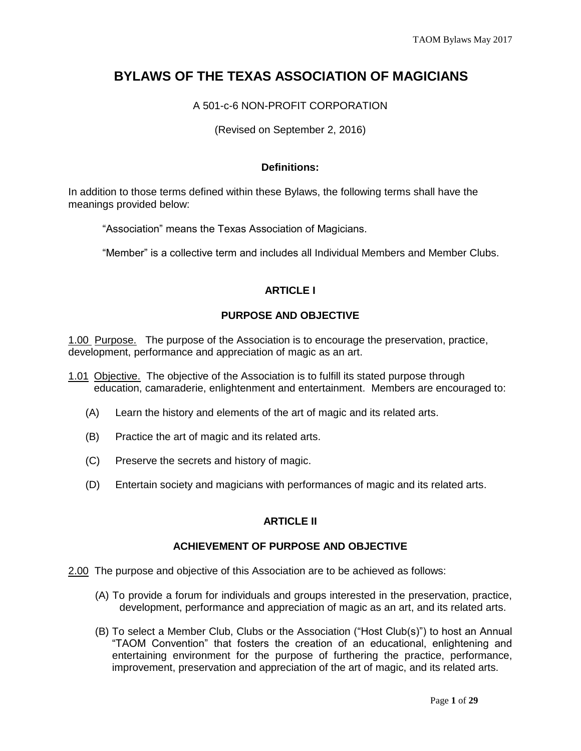# **BYLAWS OF THE TEXAS ASSOCIATION OF MAGICIANS**

## A 501-c-6 NON-PROFIT CORPORATION

(Revised on September 2, 2016)

### **Definitions:**

In addition to those terms defined within these Bylaws, the following terms shall have the meanings provided below:

"Association" means the Texas Association of Magicians.

"Member" is a collective term and includes all Individual Members and Member Clubs.

## **ARTICLE I**

## **PURPOSE AND OBJECTIVE**

1.00 Purpose. The purpose of the Association is to encourage the preservation, practice, development, performance and appreciation of magic as an art.

- 1.01 Objective. The objective of the Association is to fulfill its stated purpose through education, camaraderie, enlightenment and entertainment. Members are encouraged to:
	- (A) Learn the history and elements of the art of magic and its related arts.
	- (B) Practice the art of magic and its related arts.
	- (C) Preserve the secrets and history of magic.
	- (D) Entertain society and magicians with performances of magic and its related arts.

## **ARTICLE II**

## **ACHIEVEMENT OF PURPOSE AND OBJECTIVE**

2.00 The purpose and objective of this Association are to be achieved as follows:

- (A) To provide a forum for individuals and groups interested in the preservation, practice, development, performance and appreciation of magic as an art, and its related arts.
- (B) To select a Member Club, Clubs or the Association ("Host Club(s)") to host an Annual "TAOM Convention" that fosters the creation of an educational, enlightening and entertaining environment for the purpose of furthering the practice, performance, improvement, preservation and appreciation of the art of magic, and its related arts.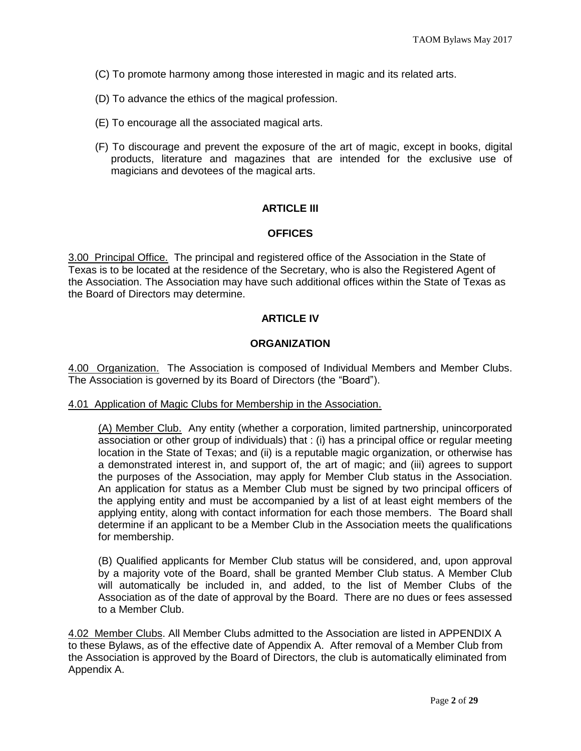- (C) To promote harmony among those interested in magic and its related arts.
- (D) To advance the ethics of the magical profession.
- (E) To encourage all the associated magical arts.
- (F) To discourage and prevent the exposure of the art of magic, except in books, digital products, literature and magazines that are intended for the exclusive use of magicians and devotees of the magical arts.

## **ARTICLE III**

## **OFFICES**

3.00 Principal Office. The principal and registered office of the Association in the State of Texas is to be located at the residence of the Secretary, who is also the Registered Agent of the Association. The Association may have such additional offices within the State of Texas as the Board of Directors may determine.

## **ARTICLE IV**

## **ORGANIZATION**

4.00 Organization. The Association is composed of Individual Members and Member Clubs. The Association is governed by its Board of Directors (the "Board").

#### 4.01 Application of Magic Clubs for Membership in the Association.

(A) Member Club. Any entity (whether a corporation, limited partnership, unincorporated association or other group of individuals) that : (i) has a principal office or regular meeting location in the State of Texas; and (ii) is a reputable magic organization, or otherwise has a demonstrated interest in, and support of, the art of magic; and (iii) agrees to support the purposes of the Association, may apply for Member Club status in the Association. An application for status as a Member Club must be signed by two principal officers of the applying entity and must be accompanied by a list of at least eight members of the applying entity, along with contact information for each those members. The Board shall determine if an applicant to be a Member Club in the Association meets the qualifications for membership.

(B) Qualified applicants for Member Club status will be considered, and, upon approval by a majority vote of the Board, shall be granted Member Club status. A Member Club will automatically be included in, and added, to the list of Member Clubs of the Association as of the date of approval by the Board. There are no dues or fees assessed to a Member Club.

4.02 Member Clubs. All Member Clubs admitted to the Association are listed in APPENDIX A to these Bylaws, as of the effective date of Appendix A. After removal of a Member Club from the Association is approved by the Board of Directors, the club is automatically eliminated from Appendix A.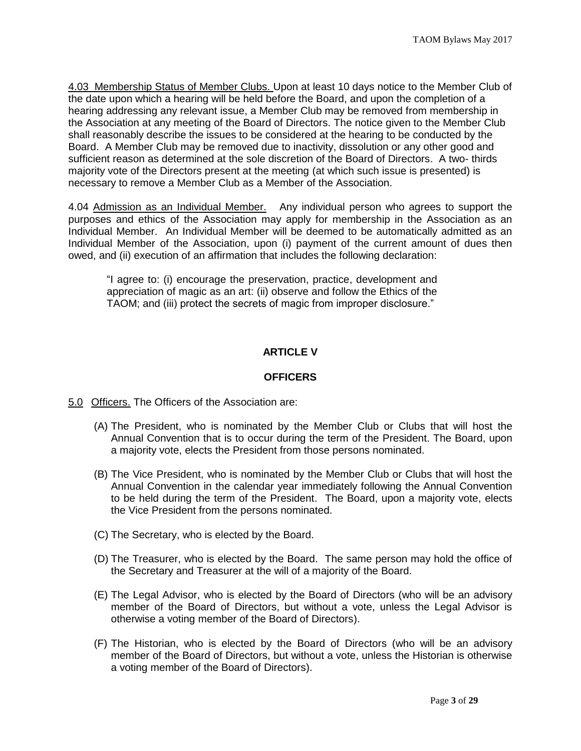4.03 Membership Status of Member Clubs. Upon at least 10 days notice to the Member Club of the date upon which a hearing will be held before the Board, and upon the completion of a hearing addressing any relevant issue, a Member Club may be removed from membership in the Association at any meeting of the Board of Directors. The notice given to the Member Club shall reasonably describe the issues to be considered at the hearing to be conducted by the Board. A Member Club may be removed due to inactivity, dissolution or any other good and sufficient reason as determined at the sole discretion of the Board of Directors. A two- thirds majority vote of the Directors present at the meeting (at which such issue is presented) is necessary to remove a Member Club as a Member of the Association.

4.04 Admission as an Individual Member. Any individual person who agrees to support the purposes and ethics of the Association may apply for membership in the Association as an Individual Member. An Individual Member will be deemed to be automatically admitted as an Individual Member of the Association, upon (i) payment of the current amount of dues then owed, and (ii) execution of an affirmation that includes the following declaration:

"I agree to: (i) encourage the preservation, practice, development and appreciation of magic as an art: (ii) observe and follow the Ethics of the TAOM; and (iii) protect the secrets of magic from improper disclosure."

## **ARTICLE V**

## **OFFICERS**

- 5.0 Officers. The Officers of the Association are:
	- (A) The President, who is nominated by the Member Club or Clubs that will host the Annual Convention that is to occur during the term of the President. The Board, upon a majority vote, elects the President from those persons nominated.
	- (B) The Vice President, who is nominated by the Member Club or Clubs that will host the Annual Convention in the calendar year immediately following the Annual Convention to be held during the term of the President. The Board, upon a majority vote, elects the Vice President from the persons nominated.
	- (C) The Secretary, who is elected by the Board.
	- (D) The Treasurer, who is elected by the Board. The same person may hold the office of the Secretary and Treasurer at the will of a majority of the Board.
	- (E) The Legal Advisor, who is elected by the Board of Directors (who will be an advisory member of the Board of Directors, but without a vote, unless the Legal Advisor is otherwise a voting member of the Board of Directors).
	- (F) The Historian, who is elected by the Board of Directors (who will be an advisory member of the Board of Directors, but without a vote, unless the Historian is otherwise a voting member of the Board of Directors).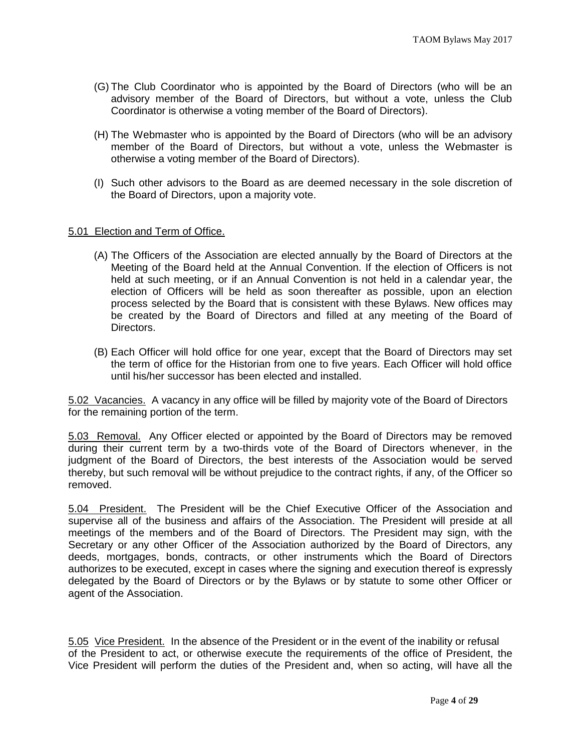- (G) The Club Coordinator who is appointed by the Board of Directors (who will be an advisory member of the Board of Directors, but without a vote, unless the Club Coordinator is otherwise a voting member of the Board of Directors).
- (H) The Webmaster who is appointed by the Board of Directors (who will be an advisory member of the Board of Directors, but without a vote, unless the Webmaster is otherwise a voting member of the Board of Directors).
- (I) Such other advisors to the Board as are deemed necessary in the sole discretion of the Board of Directors, upon a majority vote.

#### 5.01 Election and Term of Office.

- (A) The Officers of the Association are elected annually by the Board of Directors at the Meeting of the Board held at the Annual Convention. If the election of Officers is not held at such meeting, or if an Annual Convention is not held in a calendar year, the election of Officers will be held as soon thereafter as possible, upon an election process selected by the Board that is consistent with these Bylaws. New offices may be created by the Board of Directors and filled at any meeting of the Board of Directors.
- (B) Each Officer will hold office for one year, except that the Board of Directors may set the term of office for the Historian from one to five years. Each Officer will hold office until his/her successor has been elected and installed.

5.02 Vacancies. A vacancy in any office will be filled by majority vote of the Board of Directors for the remaining portion of the term.

5.03 Removal. Any Officer elected or appointed by the Board of Directors may be removed during their current term by a two-thirds vote of the Board of Directors whenever, in the judgment of the Board of Directors, the best interests of the Association would be served thereby, but such removal will be without prejudice to the contract rights, if any, of the Officer so removed.

5.04 President. The President will be the Chief Executive Officer of the Association and supervise all of the business and affairs of the Association. The President will preside at all meetings of the members and of the Board of Directors. The President may sign, with the Secretary or any other Officer of the Association authorized by the Board of Directors, any deeds, mortgages, bonds, contracts, or other instruments which the Board of Directors authorizes to be executed, except in cases where the signing and execution thereof is expressly delegated by the Board of Directors or by the Bylaws or by statute to some other Officer or agent of the Association.

5.05 Vice President. In the absence of the President or in the event of the inability or refusal of the President to act, or otherwise execute the requirements of the office of President, the Vice President will perform the duties of the President and, when so acting, will have all the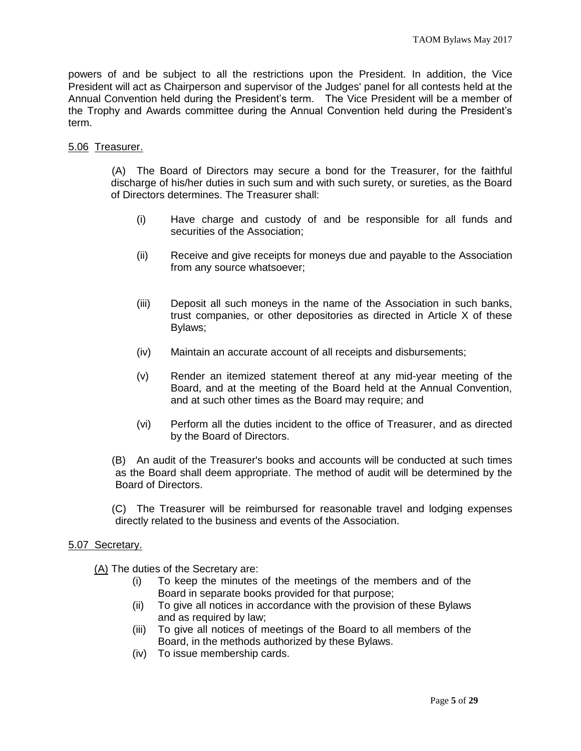powers of and be subject to all the restrictions upon the President. In addition, the Vice President will act as Chairperson and supervisor of the Judges' panel for all contests held at the Annual Convention held during the President's term. The Vice President will be a member of the Trophy and Awards committee during the Annual Convention held during the President's term.

#### 5.06 Treasurer.

(A) The Board of Directors may secure a bond for the Treasurer, for the faithful discharge of his/her duties in such sum and with such surety, or sureties, as the Board of Directors determines. The Treasurer shall:

- (i) Have charge and custody of and be responsible for all funds and securities of the Association;
- (ii) Receive and give receipts for moneys due and payable to the Association from any source whatsoever;
- (iii) Deposit all such moneys in the name of the Association in such banks, trust companies, or other depositories as directed in Article X of these Bylaws;
- (iv) Maintain an accurate account of all receipts and disbursements;
- (v) Render an itemized statement thereof at any mid-year meeting of the Board, and at the meeting of the Board held at the Annual Convention, and at such other times as the Board may require; and
- (vi) Perform all the duties incident to the office of Treasurer, and as directed by the Board of Directors.

(B) An audit of the Treasurer's books and accounts will be conducted at such times as the Board shall deem appropriate. The method of audit will be determined by the Board of Directors.

(C) The Treasurer will be reimbursed for reasonable travel and lodging expenses directly related to the business and events of the Association.

#### 5.07 Secretary.

(A) The duties of the Secretary are:

- (i) To keep the minutes of the meetings of the members and of the Board in separate books provided for that purpose;
- (ii) To give all notices in accordance with the provision of these Bylaws and as required by law;
- (iii) To give all notices of meetings of the Board to all members of the Board, in the methods authorized by these Bylaws.
- (iv) To issue membership cards.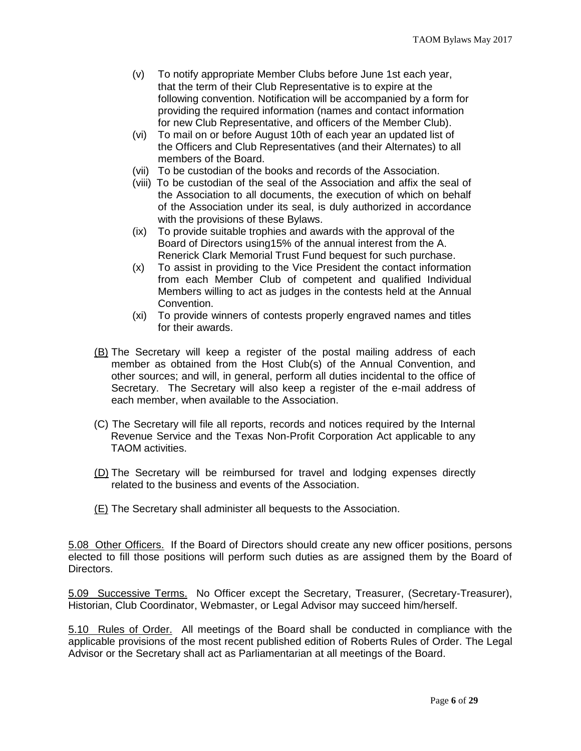- (v) To notify appropriate Member Clubs before June 1st each year, that the term of their Club Representative is to expire at the following convention. Notification will be accompanied by a form for providing the required information (names and contact information for new Club Representative, and officers of the Member Club).
- (vi) To mail on or before August 10th of each year an updated list of the Officers and Club Representatives (and their Alternates) to all members of the Board.
- (vii) To be custodian of the books and records of the Association.
- (viii) To be custodian of the seal of the Association and affix the seal of the Association to all documents, the execution of which on behalf of the Association under its seal, is duly authorized in accordance with the provisions of these Bylaws.
- (ix) To provide suitable trophies and awards with the approval of the Board of Directors using15% of the annual interest from the A. Renerick Clark Memorial Trust Fund bequest for such purchase.
- (x) To assist in providing to the Vice President the contact information from each Member Club of competent and qualified Individual Members willing to act as judges in the contests held at the Annual Convention.
- (xi) To provide winners of contests properly engraved names and titles for their awards.
- (B) The Secretary will keep a register of the postal mailing address of each member as obtained from the Host Club(s) of the Annual Convention, and other sources; and will, in general, perform all duties incidental to the office of Secretary. The Secretary will also keep a register of the e-mail address of each member, when available to the Association.
- (C) The Secretary will file all reports, records and notices required by the Internal Revenue Service and the Texas Non-Profit Corporation Act applicable to any TAOM activities.
- (D) The Secretary will be reimbursed for travel and lodging expenses directly related to the business and events of the Association.
- (E) The Secretary shall administer all bequests to the Association.

5.08 Other Officers. If the Board of Directors should create any new officer positions, persons elected to fill those positions will perform such duties as are assigned them by the Board of Directors.

5.09 Successive Terms. No Officer except the Secretary, Treasurer, (Secretary-Treasurer), Historian, Club Coordinator, Webmaster, or Legal Advisor may succeed him/herself.

5.10 Rules of Order. All meetings of the Board shall be conducted in compliance with the applicable provisions of the most recent published edition of Roberts Rules of Order. The Legal Advisor or the Secretary shall act as Parliamentarian at all meetings of the Board.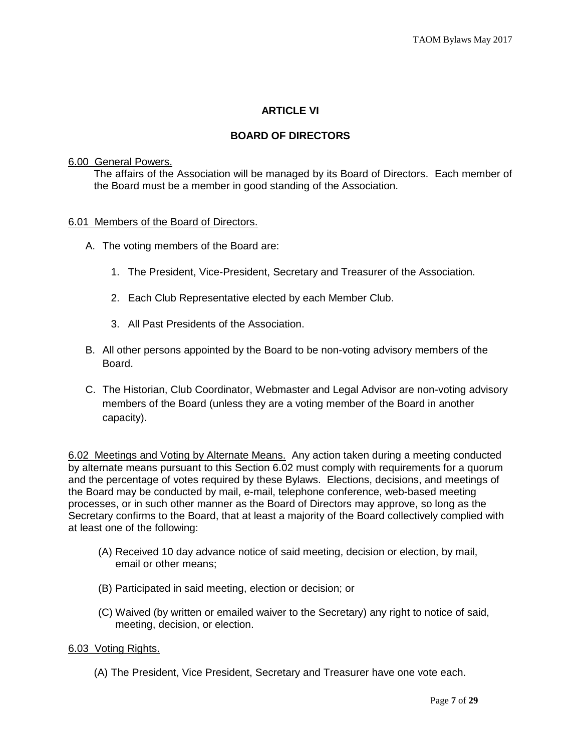## **ARTICLE VI**

## **BOARD OF DIRECTORS**

### 6.00 General Powers.

The affairs of the Association will be managed by its Board of Directors. Each member of the Board must be a member in good standing of the Association.

## 6.01 Members of the Board of Directors.

- A. The voting members of the Board are:
	- 1. The President, Vice-President, Secretary and Treasurer of the Association.
	- 2. Each Club Representative elected by each Member Club.
	- 3. All Past Presidents of the Association.
- B. All other persons appointed by the Board to be non-voting advisory members of the Board.
- C. The Historian, Club Coordinator, Webmaster and Legal Advisor are non-voting advisory members of the Board (unless they are a voting member of the Board in another capacity).

6.02 Meetings and Voting by Alternate Means. Any action taken during a meeting conducted by alternate means pursuant to this Section 6.02 must comply with requirements for a quorum and the percentage of votes required by these Bylaws. Elections, decisions, and meetings of the Board may be conducted by mail, e-mail, telephone conference, web-based meeting processes, or in such other manner as the Board of Directors may approve, so long as the Secretary confirms to the Board, that at least a majority of the Board collectively complied with at least one of the following:

- (A) Received 10 day advance notice of said meeting, decision or election, by mail, email or other means;
- (B) Participated in said meeting, election or decision; or
- (C) Waived (by written or emailed waiver to the Secretary) any right to notice of said, meeting, decision, or election.

## 6.03 Voting Rights.

(A) The President, Vice President, Secretary and Treasurer have one vote each.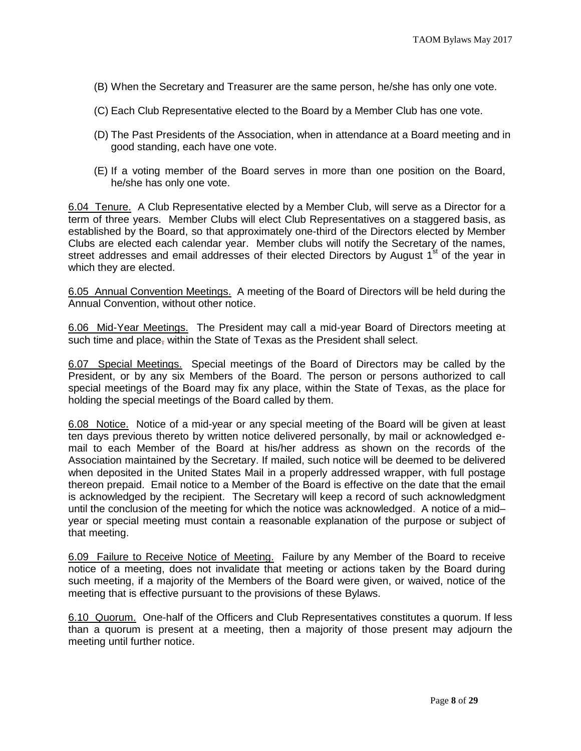- (B) When the Secretary and Treasurer are the same person, he/she has only one vote.
- (C) Each Club Representative elected to the Board by a Member Club has one vote.
- (D) The Past Presidents of the Association, when in attendance at a Board meeting and in good standing, each have one vote.
- (E) If a voting member of the Board serves in more than one position on the Board, he/she has only one vote.

6.04 Tenure. A Club Representative elected by a Member Club, will serve as a Director for a term of three years. Member Clubs will elect Club Representatives on a staggered basis, as established by the Board, so that approximately one-third of the Directors elected by Member Clubs are elected each calendar year. Member clubs will notify the Secretary of the names, street addresses and email addresses of their elected Directors by August 1<sup>st</sup> of the year in which they are elected.

6.05 Annual Convention Meetings. A meeting of the Board of Directors will be held during the Annual Convention, without other notice.

6.06 Mid-Year Meetings. The President may call a mid-year Board of Directors meeting at such time and place, within the State of Texas as the President shall select.

6.07 Special Meetings. Special meetings of the Board of Directors may be called by the President, or by any six Members of the Board. The person or persons authorized to call special meetings of the Board may fix any place, within the State of Texas, as the place for holding the special meetings of the Board called by them.

6.08 Notice. Notice of a mid-year or any special meeting of the Board will be given at least ten days previous thereto by written notice delivered personally, by mail or acknowledged email to each Member of the Board at his/her address as shown on the records of the Association maintained by the Secretary. If mailed, such notice will be deemed to be delivered when deposited in the United States Mail in a properly addressed wrapper, with full postage thereon prepaid. Email notice to a Member of the Board is effective on the date that the email is acknowledged by the recipient. The Secretary will keep a record of such acknowledgment until the conclusion of the meeting for which the notice was acknowledged. A notice of a mid– year or special meeting must contain a reasonable explanation of the purpose or subject of that meeting.

6.09 Failure to Receive Notice of Meeting. Failure by any Member of the Board to receive notice of a meeting, does not invalidate that meeting or actions taken by the Board during such meeting, if a majority of the Members of the Board were given, or waived, notice of the meeting that is effective pursuant to the provisions of these Bylaws.

6.10 Quorum. One-half of the Officers and Club Representatives constitutes a quorum. If less than a quorum is present at a meeting, then a majority of those present may adjourn the meeting until further notice.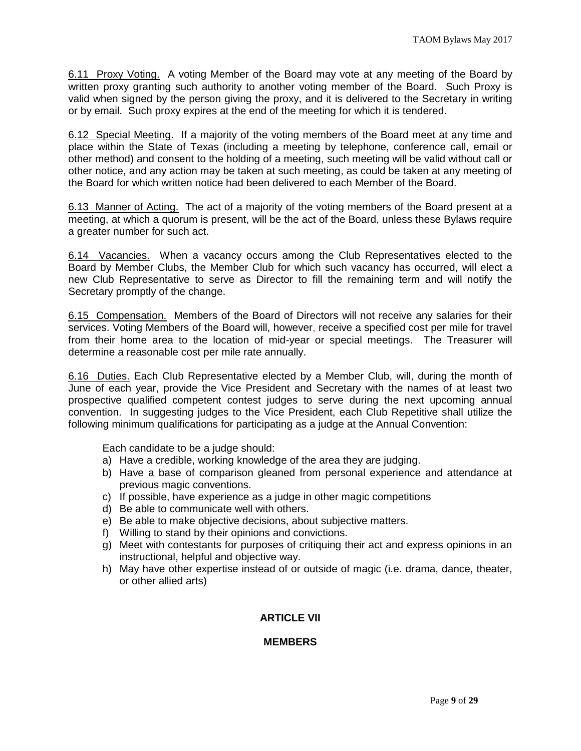6.11 Proxy Voting. A voting Member of the Board may vote at any meeting of the Board by written proxy granting such authority to another voting member of the Board. Such Proxy is valid when signed by the person giving the proxy, and it is delivered to the Secretary in writing or by email. Such proxy expires at the end of the meeting for which it is tendered.

6.12 Special Meeting. If a majority of the voting members of the Board meet at any time and place within the State of Texas (including a meeting by telephone, conference call, email or other method) and consent to the holding of a meeting, such meeting will be valid without call or other notice, and any action may be taken at such meeting, as could be taken at any meeting of the Board for which written notice had been delivered to each Member of the Board.

6.13 Manner of Acting. The act of a majority of the voting members of the Board present at a meeting, at which a quorum is present, will be the act of the Board, unless these Bylaws require a greater number for such act.

6.14 Vacancies. When a vacancy occurs among the Club Representatives elected to the Board by Member Clubs, the Member Club for which such vacancy has occurred, will elect a new Club Representative to serve as Director to fill the remaining term and will notify the Secretary promptly of the change.

6.15 Compensation. Members of the Board of Directors will not receive any salaries for their services. Voting Members of the Board will, however, receive a specified cost per mile for travel from their home area to the location of mid-year or special meetings. The Treasurer will determine a reasonable cost per mile rate annually.

6.16 Duties. Each Club Representative elected by a Member Club, will, during the month of June of each year, provide the Vice President and Secretary with the names of at least two prospective qualified competent contest judges to serve during the next upcoming annual convention. In suggesting judges to the Vice President, each Club Repetitive shall utilize the following minimum qualifications for participating as a judge at the Annual Convention:

Each candidate to be a judge should:

- a) Have a credible, working knowledge of the area they are judging.
- b) Have a base of comparison gleaned from personal experience and attendance at previous magic conventions.
- c) If possible, have experience as a judge in other magic competitions
- d) Be able to communicate well with others.
- e) Be able to make objective decisions, about subjective matters.
- f) Willing to stand by their opinions and convictions.
- g) Meet with contestants for purposes of critiquing their act and express opinions in an instructional, helpful and objective way.
- h) May have other expertise instead of or outside of magic (i.e. drama, dance, theater, or other allied arts)

## **ARTICLE VII**

#### **MEMBERS**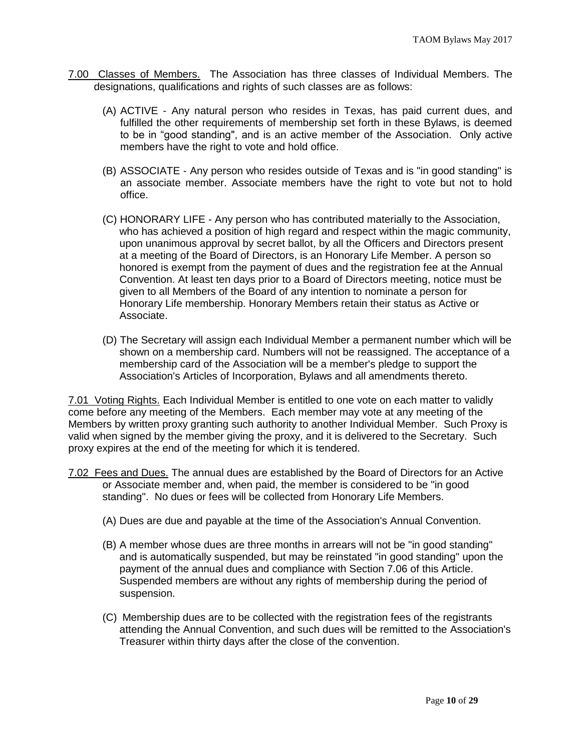- 7.00 Classes of Members. The Association has three classes of Individual Members. The designations, qualifications and rights of such classes are as follows:
	- (A) ACTIVE Any natural person who resides in Texas, has paid current dues, and fulfilled the other requirements of membership set forth in these Bylaws, is deemed to be in "good standing", and is an active member of the Association. Only active members have the right to vote and hold office.
	- (B) ASSOCIATE Any person who resides outside of Texas and is "in good standing" is an associate member. Associate members have the right to vote but not to hold office.
	- (C) HONORARY LIFE Any person who has contributed materially to the Association, who has achieved a position of high regard and respect within the magic community, upon unanimous approval by secret ballot, by all the Officers and Directors present at a meeting of the Board of Directors, is an Honorary Life Member. A person so honored is exempt from the payment of dues and the registration fee at the Annual Convention. At least ten days prior to a Board of Directors meeting, notice must be given to all Members of the Board of any intention to nominate a person for Honorary Life membership. Honorary Members retain their status as Active or Associate.
	- (D) The Secretary will assign each Individual Member a permanent number which will be shown on a membership card. Numbers will not be reassigned. The acceptance of a membership card of the Association will be a member's pledge to support the Association's Articles of Incorporation, Bylaws and all amendments thereto.

7.01 Voting Rights. Each Individual Member is entitled to one vote on each matter to validly come before any meeting of the Members. Each member may vote at any meeting of the Members by written proxy granting such authority to another Individual Member. Such Proxy is valid when signed by the member giving the proxy, and it is delivered to the Secretary. Such proxy expires at the end of the meeting for which it is tendered.

- 7.02 Fees and Dues. The annual dues are established by the Board of Directors for an Active or Associate member and, when paid, the member is considered to be "in good standing". No dues or fees will be collected from Honorary Life Members.
	- (A) Dues are due and payable at the time of the Association's Annual Convention.
	- (B) A member whose dues are three months in arrears will not be "in good standing" and is automatically suspended, but may be reinstated "in good standing" upon the payment of the annual dues and compliance with Section 7.06 of this Article. Suspended members are without any rights of membership during the period of suspension.
	- (C) Membership dues are to be collected with the registration fees of the registrants attending the Annual Convention, and such dues will be remitted to the Association's Treasurer within thirty days after the close of the convention.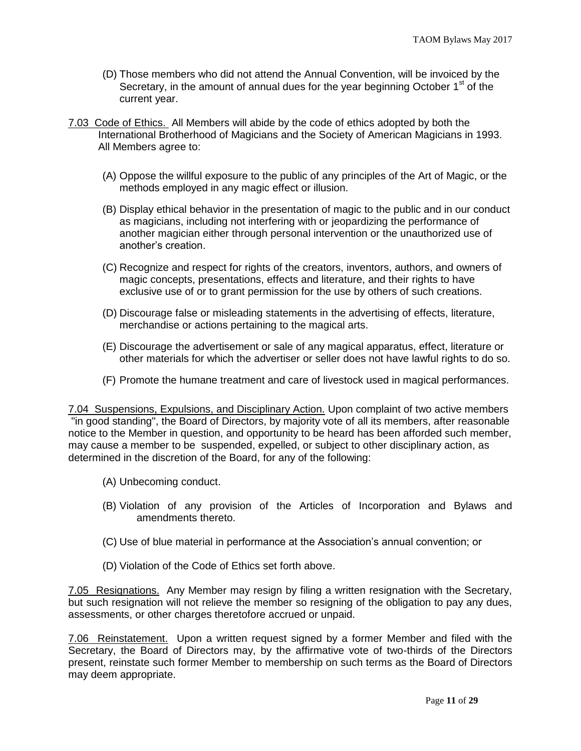- (D) Those members who did not attend the Annual Convention, will be invoiced by the Secretary, in the amount of annual dues for the year beginning October  $1<sup>st</sup>$  of the current year.
- 7.03 Code of Ethics. All Members will abide by the code of ethics adopted by both the International Brotherhood of Magicians and the Society of American Magicians in 1993. All Members agree to:
	- (A) Oppose the willful exposure to the public of any principles of the Art of Magic, or the methods employed in any magic effect or illusion.
	- (B) Display ethical behavior in the presentation of magic to the public and in our conduct as magicians, including not interfering with or jeopardizing the performance of another magician either through personal intervention or the unauthorized use of another's creation.
	- (C) Recognize and respect for rights of the creators, inventors, authors, and owners of magic concepts, presentations, effects and literature, and their rights to have exclusive use of or to grant permission for the use by others of such creations.
	- (D) Discourage false or misleading statements in the advertising of effects, literature, merchandise or actions pertaining to the magical arts.
	- (E) Discourage the advertisement or sale of any magical apparatus, effect, literature or other materials for which the advertiser or seller does not have lawful rights to do so.
	- (F) Promote the humane treatment and care of livestock used in magical performances.

7.04 Suspensions, Expulsions, and Disciplinary Action. Upon complaint of two active members "in good standing", the Board of Directors, by majority vote of all its members, after reasonable notice to the Member in question, and opportunity to be heard has been afforded such member, may cause a member to be suspended, expelled, or subject to other disciplinary action, as determined in the discretion of the Board, for any of the following:

- (A) Unbecoming conduct.
- (B) Violation of any provision of the Articles of Incorporation and Bylaws and amendments thereto.
- (C) Use of blue material in performance at the Association's annual convention; or
- (D) Violation of the Code of Ethics set forth above.

7.05 Resignations. Any Member may resign by filing a written resignation with the Secretary, but such resignation will not relieve the member so resigning of the obligation to pay any dues, assessments, or other charges theretofore accrued or unpaid.

7.06 Reinstatement. Upon a written request signed by a former Member and filed with the Secretary, the Board of Directors may, by the affirmative vote of two-thirds of the Directors present, reinstate such former Member to membership on such terms as the Board of Directors may deem appropriate.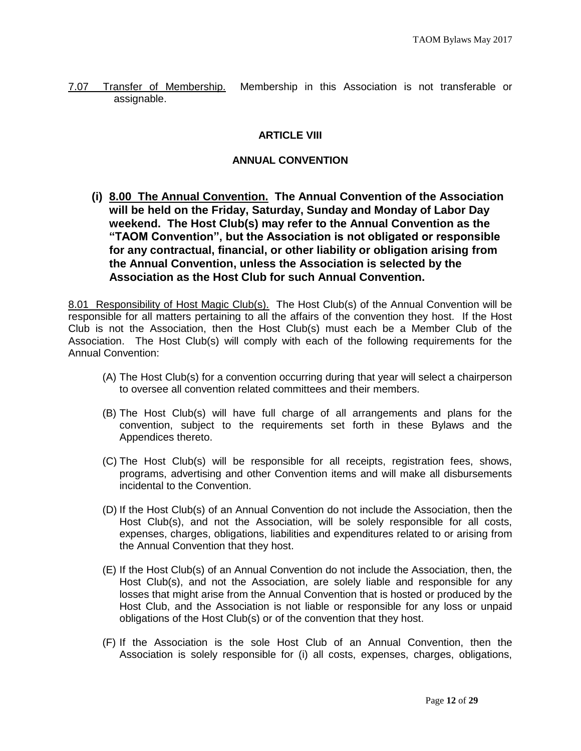7.07 Transfer of Membership. Membership in this Association is not transferable or assignable.

### **ARTICLE VIII**

#### **ANNUAL CONVENTION**

**(i) 8.00 The Annual Convention. The Annual Convention of the Association will be held on the Friday, Saturday, Sunday and Monday of Labor Day weekend. The Host Club(s) may refer to the Annual Convention as the "TAOM Convention", but the Association is not obligated or responsible for any contractual, financial, or other liability or obligation arising from the Annual Convention, unless the Association is selected by the Association as the Host Club for such Annual Convention.**

8.01 Responsibility of Host Magic Club(s). The Host Club(s) of the Annual Convention will be responsible for all matters pertaining to all the affairs of the convention they host. If the Host Club is not the Association, then the Host Club(s) must each be a Member Club of the Association. The Host Club(s) will comply with each of the following requirements for the Annual Convention:

- (A) The Host Club(s) for a convention occurring during that year will select a chairperson to oversee all convention related committees and their members.
- (B) The Host Club(s) will have full charge of all arrangements and plans for the convention, subject to the requirements set forth in these Bylaws and the Appendices thereto.
- (C) The Host Club(s) will be responsible for all receipts, registration fees, shows, programs, advertising and other Convention items and will make all disbursements incidental to the Convention.
- (D) If the Host Club(s) of an Annual Convention do not include the Association, then the Host Club(s), and not the Association, will be solely responsible for all costs, expenses, charges, obligations, liabilities and expenditures related to or arising from the Annual Convention that they host.
- (E) If the Host Club(s) of an Annual Convention do not include the Association, then, the Host Club(s), and not the Association, are solely liable and responsible for any losses that might arise from the Annual Convention that is hosted or produced by the Host Club, and the Association is not liable or responsible for any loss or unpaid obligations of the Host Club(s) or of the convention that they host.
- (F) If the Association is the sole Host Club of an Annual Convention, then the Association is solely responsible for (i) all costs, expenses, charges, obligations,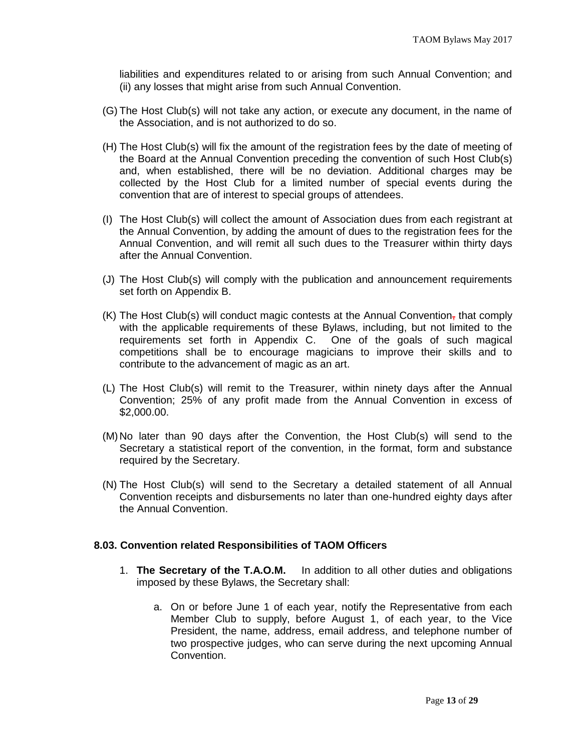liabilities and expenditures related to or arising from such Annual Convention; and (ii) any losses that might arise from such Annual Convention.

- (G) The Host Club(s) will not take any action, or execute any document, in the name of the Association, and is not authorized to do so.
- (H) The Host Club(s) will fix the amount of the registration fees by the date of meeting of the Board at the Annual Convention preceding the convention of such Host Club(s) and, when established, there will be no deviation. Additional charges may be collected by the Host Club for a limited number of special events during the convention that are of interest to special groups of attendees.
- (I) The Host Club(s) will collect the amount of Association dues from each registrant at the Annual Convention, by adding the amount of dues to the registration fees for the Annual Convention, and will remit all such dues to the Treasurer within thirty days after the Annual Convention.
- (J) The Host Club(s) will comply with the publication and announcement requirements set forth on Appendix B.
- $(K)$  The Host Club(s) will conduct magic contests at the Annual Convention, that comply with the applicable requirements of these Bylaws, including, but not limited to the requirements set forth in Appendix C. One of the goals of such magical competitions shall be to encourage magicians to improve their skills and to contribute to the advancement of magic as an art.
- (L) The Host Club(s) will remit to the Treasurer, within ninety days after the Annual Convention; 25% of any profit made from the Annual Convention in excess of \$2,000.00.
- (M) No later than 90 days after the Convention, the Host Club(s) will send to the Secretary a statistical report of the convention, in the format, form and substance required by the Secretary.
- (N) The Host Club(s) will send to the Secretary a detailed statement of all Annual Convention receipts and disbursements no later than one-hundred eighty days after the Annual Convention.

#### **8.03. Convention related Responsibilities of TAOM Officers**

- 1. **The Secretary of the T.A.O.M.** In addition to all other duties and obligations imposed by these Bylaws, the Secretary shall:
	- a. On or before June 1 of each year, notify the Representative from each Member Club to supply, before August 1, of each year, to the Vice President, the name, address, email address, and telephone number of two prospective judges, who can serve during the next upcoming Annual Convention.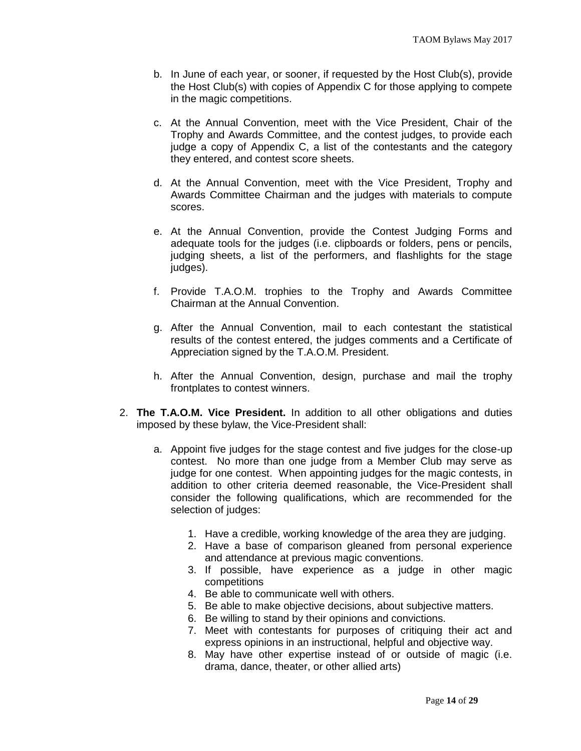- b. In June of each year, or sooner, if requested by the Host Club(s), provide the Host Club(s) with copies of Appendix C for those applying to compete in the magic competitions.
- c. At the Annual Convention, meet with the Vice President, Chair of the Trophy and Awards Committee, and the contest judges, to provide each judge a copy of Appendix C, a list of the contestants and the category they entered, and contest score sheets.
- d. At the Annual Convention, meet with the Vice President, Trophy and Awards Committee Chairman and the judges with materials to compute scores.
- e. At the Annual Convention, provide the Contest Judging Forms and adequate tools for the judges (i.e. clipboards or folders, pens or pencils, judging sheets, a list of the performers, and flashlights for the stage judges).
- f. Provide T.A.O.M. trophies to the Trophy and Awards Committee Chairman at the Annual Convention.
- g. After the Annual Convention, mail to each contestant the statistical results of the contest entered, the judges comments and a Certificate of Appreciation signed by the T.A.O.M. President.
- h. After the Annual Convention, design, purchase and mail the trophy frontplates to contest winners.
- 2. **The T.A.O.M. Vice President.** In addition to all other obligations and duties imposed by these bylaw, the Vice-President shall:
	- a. Appoint five judges for the stage contest and five judges for the close-up contest. No more than one judge from a Member Club may serve as judge for one contest. When appointing judges for the magic contests, in addition to other criteria deemed reasonable, the Vice-President shall consider the following qualifications, which are recommended for the selection of judges:
		- 1. Have a credible, working knowledge of the area they are judging.
		- 2. Have a base of comparison gleaned from personal experience and attendance at previous magic conventions.
		- 3. If possible, have experience as a judge in other magic competitions
		- 4. Be able to communicate well with others.
		- 5. Be able to make objective decisions, about subjective matters.
		- 6. Be willing to stand by their opinions and convictions.
		- 7. Meet with contestants for purposes of critiquing their act and express opinions in an instructional, helpful and objective way.
		- 8. May have other expertise instead of or outside of magic (i.e. drama, dance, theater, or other allied arts)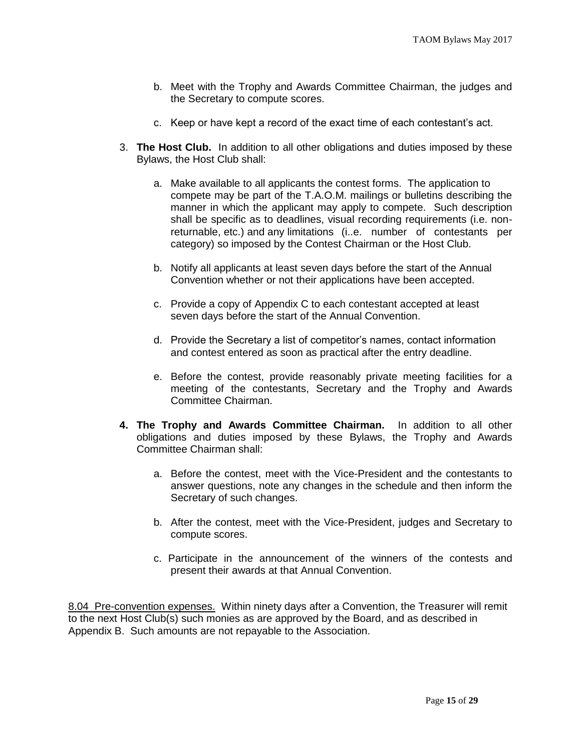- b. Meet with the Trophy and Awards Committee Chairman, the judges and the Secretary to compute scores.
- c. Keep or have kept a record of the exact time of each contestant's act.
- 3. **The Host Club.** In addition to all other obligations and duties imposed by these Bylaws, the Host Club shall:
	- a. Make available to all applicants the contest forms. The application to compete may be part of the T.A.O.M. mailings or bulletins describing the manner in which the applicant may apply to compete. Such description shall be specific as to deadlines, visual recording requirements (i.e. nonreturnable, etc.) and any limitations (i..e. number of contestants per category) so imposed by the Contest Chairman or the Host Club.
	- b. Notify all applicants at least seven days before the start of the Annual Convention whether or not their applications have been accepted.
	- c. Provide a copy of Appendix C to each contestant accepted at least seven days before the start of the Annual Convention.
	- d. Provide the Secretary a list of competitor's names, contact information and contest entered as soon as practical after the entry deadline.
	- e. Before the contest, provide reasonably private meeting facilities for a meeting of the contestants, Secretary and the Trophy and Awards Committee Chairman.
- **4. The Trophy and Awards Committee Chairman.** In addition to all other obligations and duties imposed by these Bylaws, the Trophy and Awards Committee Chairman shall:
	- a. Before the contest, meet with the Vice-President and the contestants to answer questions, note any changes in the schedule and then inform the Secretary of such changes.
	- b. After the contest, meet with the Vice-President, judges and Secretary to compute scores.
	- c. Participate in the announcement of the winners of the contests and present their awards at that Annual Convention.

8.04 Pre-convention expenses. Within ninety days after a Convention, the Treasurer will remit to the next Host Club(s) such monies as are approved by the Board, and as described in Appendix B. Such amounts are not repayable to the Association.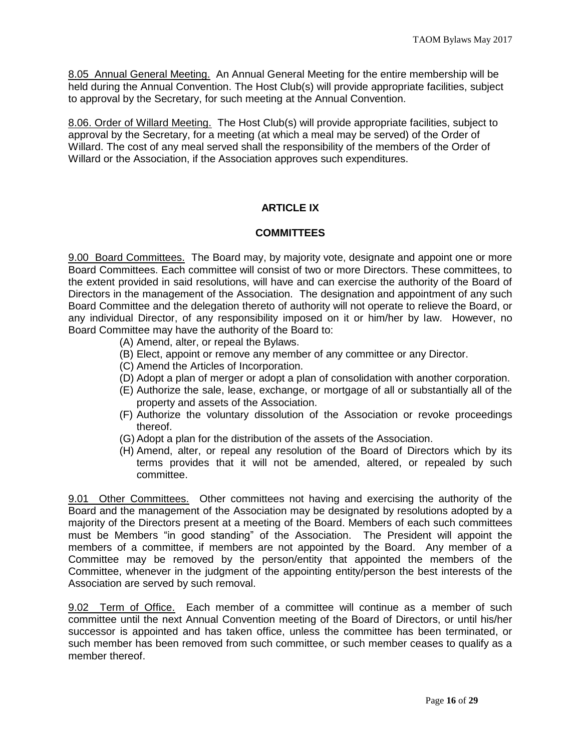8.05 Annual General Meeting. An Annual General Meeting for the entire membership will be held during the Annual Convention. The Host Club(s) will provide appropriate facilities, subject to approval by the Secretary, for such meeting at the Annual Convention.

8.06. Order of Willard Meeting. The Host Club(s) will provide appropriate facilities, subject to approval by the Secretary, for a meeting (at which a meal may be served) of the Order of Willard. The cost of any meal served shall the responsibility of the members of the Order of Willard or the Association, if the Association approves such expenditures.

## **ARTICLE IX**

### **COMMITTEES**

9.00 Board Committees. The Board may, by majority vote, designate and appoint one or more Board Committees. Each committee will consist of two or more Directors. These committees, to the extent provided in said resolutions, will have and can exercise the authority of the Board of Directors in the management of the Association. The designation and appointment of any such Board Committee and the delegation thereto of authority will not operate to relieve the Board, or any individual Director, of any responsibility imposed on it or him/her by law. However, no Board Committee may have the authority of the Board to:

- (A) Amend, alter, or repeal the Bylaws.
- (B) Elect, appoint or remove any member of any committee or any Director.
- (C) Amend the Articles of Incorporation.
- (D) Adopt a plan of merger or adopt a plan of consolidation with another corporation.
- (E) Authorize the sale, lease, exchange, or mortgage of all or substantially all of the property and assets of the Association.
- (F) Authorize the voluntary dissolution of the Association or revoke proceedings thereof.
- (G) Adopt a plan for the distribution of the assets of the Association.
- (H) Amend, alter, or repeal any resolution of the Board of Directors which by its terms provides that it will not be amended, altered, or repealed by such committee.

9.01 Other Committees. Other committees not having and exercising the authority of the Board and the management of the Association may be designated by resolutions adopted by a majority of the Directors present at a meeting of the Board. Members of each such committees must be Members "in good standing" of the Association. The President will appoint the members of a committee, if members are not appointed by the Board. Any member of a Committee may be removed by the person/entity that appointed the members of the Committee, whenever in the judgment of the appointing entity/person the best interests of the Association are served by such removal.

9.02 Term of Office. Each member of a committee will continue as a member of such committee until the next Annual Convention meeting of the Board of Directors, or until his/her successor is appointed and has taken office, unless the committee has been terminated, or such member has been removed from such committee, or such member ceases to qualify as a member thereof.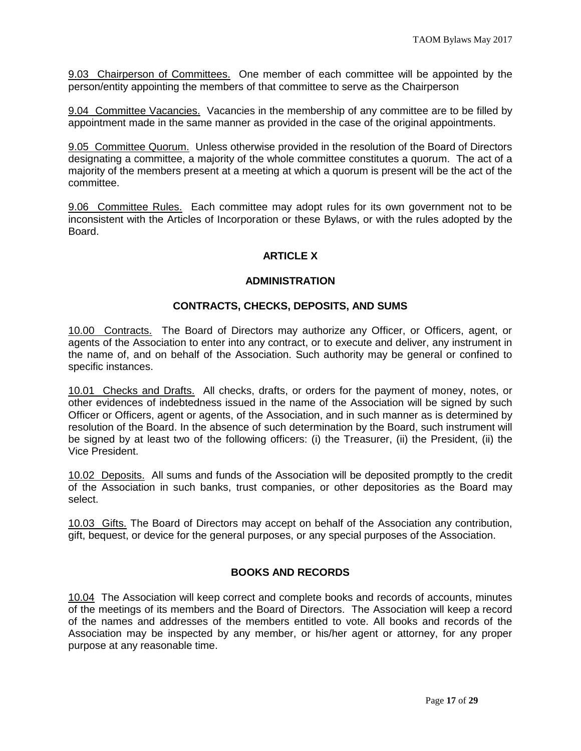9.03 Chairperson of Committees. One member of each committee will be appointed by the person/entity appointing the members of that committee to serve as the Chairperson

9.04 Committee Vacancies. Vacancies in the membership of any committee are to be filled by appointment made in the same manner as provided in the case of the original appointments.

9.05 Committee Quorum. Unless otherwise provided in the resolution of the Board of Directors designating a committee, a majority of the whole committee constitutes a quorum. The act of a majority of the members present at a meeting at which a quorum is present will be the act of the committee.

9.06 Committee Rules. Each committee may adopt rules for its own government not to be inconsistent with the Articles of Incorporation or these Bylaws, or with the rules adopted by the Board.

## **ARTICLE X**

## **ADMINISTRATION**

## **CONTRACTS, CHECKS, DEPOSITS, AND SUMS**

10.00 Contracts. The Board of Directors may authorize any Officer, or Officers, agent, or agents of the Association to enter into any contract, or to execute and deliver, any instrument in the name of, and on behalf of the Association. Such authority may be general or confined to specific instances.

10.01 Checks and Drafts. All checks, drafts, or orders for the payment of money, notes, or other evidences of indebtedness issued in the name of the Association will be signed by such Officer or Officers, agent or agents, of the Association, and in such manner as is determined by resolution of the Board. In the absence of such determination by the Board, such instrument will be signed by at least two of the following officers: (i) the Treasurer, (ii) the President, (ii) the Vice President.

10.02 Deposits. All sums and funds of the Association will be deposited promptly to the credit of the Association in such banks, trust companies, or other depositories as the Board may select.

10.03 Gifts. The Board of Directors may accept on behalf of the Association any contribution, gift, bequest, or device for the general purposes, or any special purposes of the Association.

## **BOOKS AND RECORDS**

10.04 The Association will keep correct and complete books and records of accounts, minutes of the meetings of its members and the Board of Directors. The Association will keep a record of the names and addresses of the members entitled to vote. All books and records of the Association may be inspected by any member, or his/her agent or attorney, for any proper purpose at any reasonable time.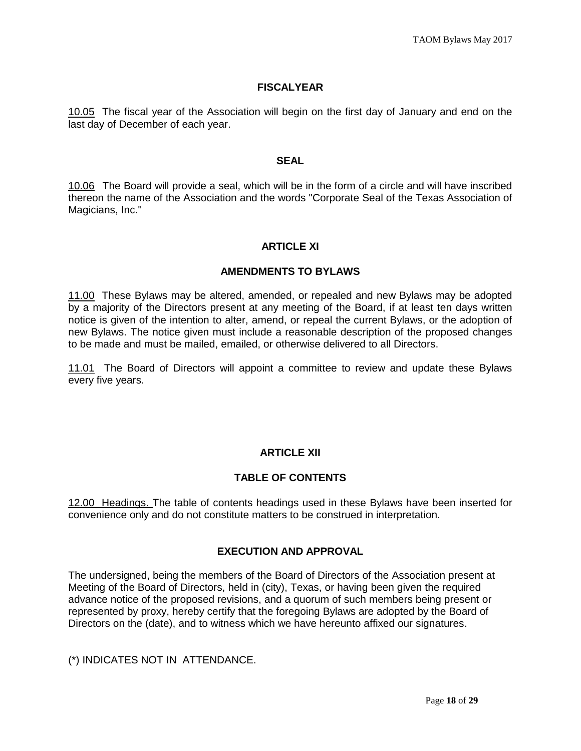### **FISCALYEAR**

10.05 The fiscal year of the Association will begin on the first day of January and end on the last day of December of each year.

#### **SEAL**

10.06 The Board will provide a seal, which will be in the form of a circle and will have inscribed thereon the name of the Association and the words "Corporate Seal of the Texas Association of Magicians, Inc."

### **ARTICLE XI**

### **AMENDMENTS TO BYLAWS**

11.00 These Bylaws may be altered, amended, or repealed and new Bylaws may be adopted by a majority of the Directors present at any meeting of the Board, if at least ten days written notice is given of the intention to alter, amend, or repeal the current Bylaws, or the adoption of new Bylaws. The notice given must include a reasonable description of the proposed changes to be made and must be mailed, emailed, or otherwise delivered to all Directors.

11.01 The Board of Directors will appoint a committee to review and update these Bylaws every five years.

## **ARTICLE XII**

#### **TABLE OF CONTENTS**

12.00 Headings. The table of contents headings used in these Bylaws have been inserted for convenience only and do not constitute matters to be construed in interpretation.

#### **EXECUTION AND APPROVAL**

The undersigned, being the members of the Board of Directors of the Association present at Meeting of the Board of Directors, held in (city), Texas, or having been given the required advance notice of the proposed revisions, and a quorum of such members being present or represented by proxy, hereby certify that the foregoing Bylaws are adopted by the Board of Directors on the (date), and to witness which we have hereunto affixed our signatures.

(\*) INDICATES NOT IN ATTENDANCE.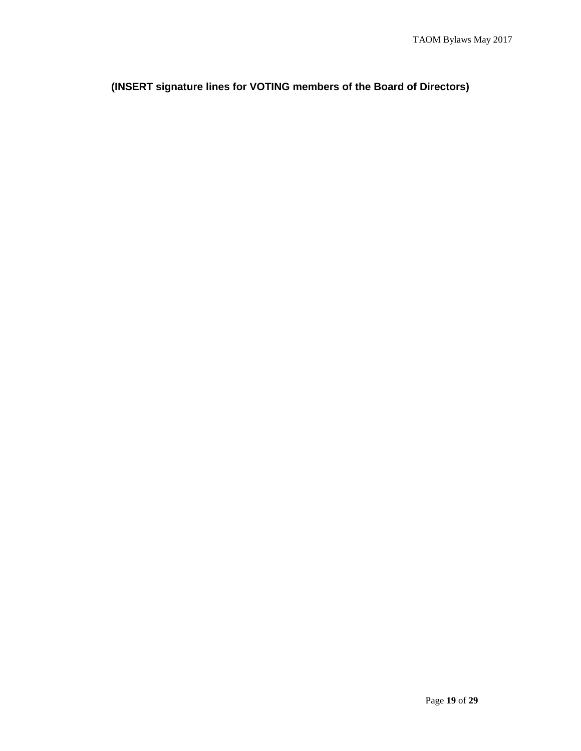**(INSERT signature lines for VOTING members of the Board of Directors)**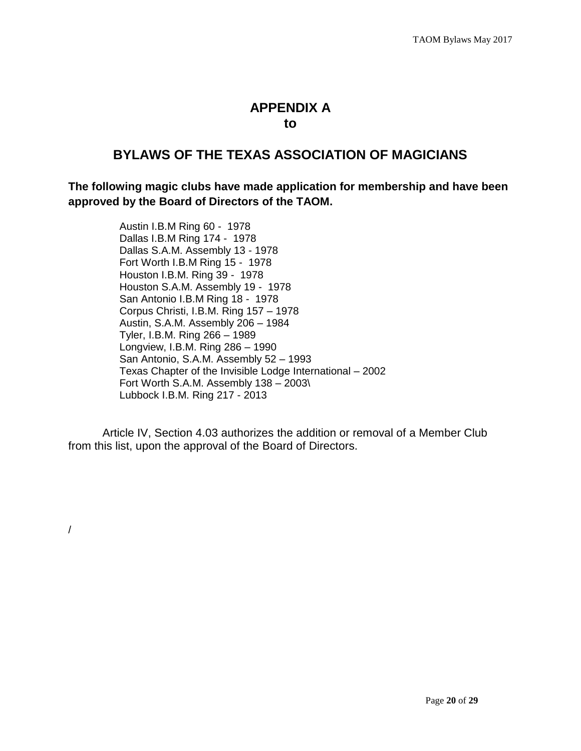Page **20** of **29**

## **APPENDIX A to**

## **BYLAWS OF THE TEXAS ASSOCIATION OF MAGICIANS**

**The following magic clubs have made application for membership and have been approved by the Board of Directors of the TAOM.**

> Austin I.B.M Ring 60 - 1978 Dallas I.B.M Ring 174 - 1978 Dallas S.A.M. Assembly 13 - 1978 Fort Worth I.B.M Ring 15 - 1978 Houston I.B.M. Ring 39 - 1978 Houston S.A.M. Assembly 19 - 1978 San Antonio I.B.M Ring 18 - 1978 Corpus Christi, I.B.M. Ring 157 – 1978 Austin, S.A.M. Assembly 206 – 1984 Tyler, I.B.M. Ring 266 – 1989 Longview, I.B.M. Ring 286 – 1990 San Antonio, S.A.M. Assembly 52 – 1993 Texas Chapter of the Invisible Lodge International – 2002 Fort Worth S.A.M. Assembly 138 – 2003\ Lubbock I.B.M. Ring 217 - 2013

Article IV, Section 4.03 authorizes the addition or removal of a Member Club from this list, upon the approval of the Board of Directors.

/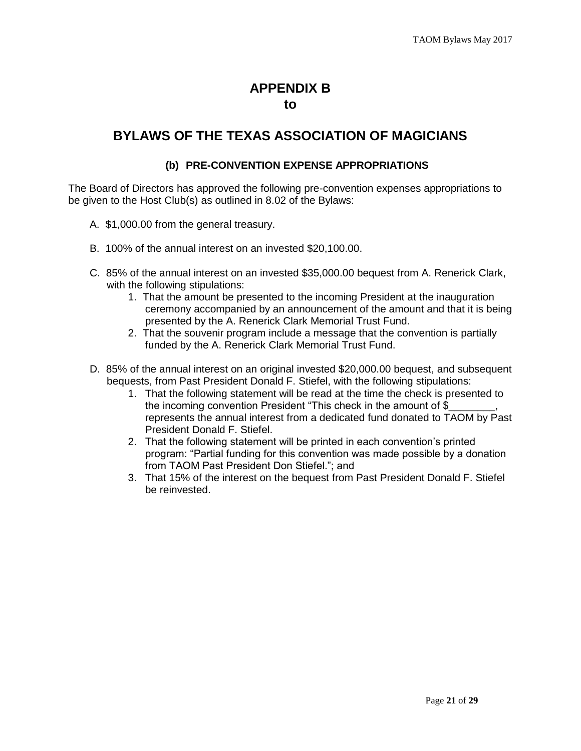## **APPENDIX B to**

## **BYLAWS OF THE TEXAS ASSOCIATION OF MAGICIANS**

## **(b) PRE-CONVENTION EXPENSE APPROPRIATIONS**

The Board of Directors has approved the following pre-convention expenses appropriations to be given to the Host Club(s) as outlined in 8.02 of the Bylaws:

- A. \$1,000.00 from the general treasury.
- B. 100% of the annual interest on an invested \$20,100.00.
- C. 85% of the annual interest on an invested \$35,000.00 bequest from A. Renerick Clark, with the following stipulations:
	- 1. That the amount be presented to the incoming President at the inauguration ceremony accompanied by an announcement of the amount and that it is being presented by the A. Renerick Clark Memorial Trust Fund.
	- 2. That the souvenir program include a message that the convention is partially funded by the A. Renerick Clark Memorial Trust Fund.
- D. 85% of the annual interest on an original invested \$20,000.00 bequest, and subsequent bequests, from Past President Donald F. Stiefel, with the following stipulations:
	- 1. That the following statement will be read at the time the check is presented to the incoming convention President "This check in the amount of \$ represents the annual interest from a dedicated fund donated to TAOM by Past President Donald F. Stiefel.
	- 2. That the following statement will be printed in each convention's printed program: "Partial funding for this convention was made possible by a donation from TAOM Past President Don Stiefel."; and
	- 3. That 15% of the interest on the bequest from Past President Donald F. Stiefel be reinvested.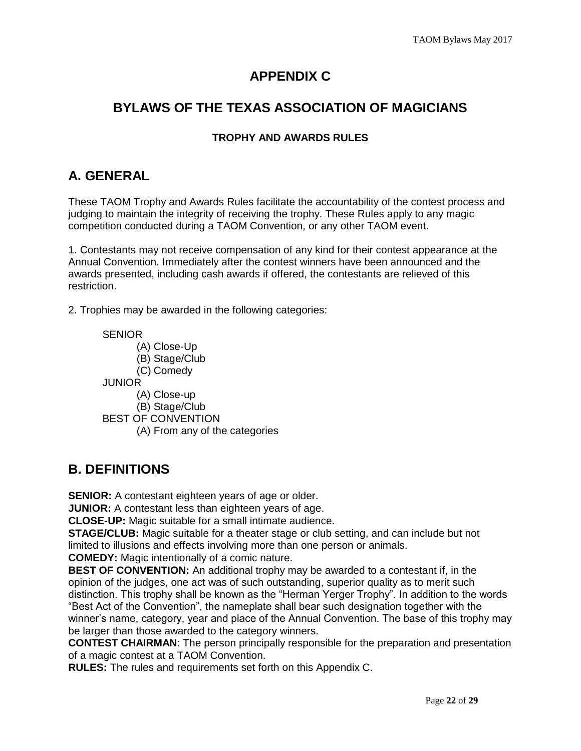# **APPENDIX C**

# **BYLAWS OF THE TEXAS ASSOCIATION OF MAGICIANS**

## **TROPHY AND AWARDS RULES**

# **A. GENERAL**

These TAOM Trophy and Awards Rules facilitate the accountability of the contest process and judging to maintain the integrity of receiving the trophy. These Rules apply to any magic competition conducted during a TAOM Convention, or any other TAOM event.

1. Contestants may not receive compensation of any kind for their contest appearance at the Annual Convention. Immediately after the contest winners have been announced and the awards presented, including cash awards if offered, the contestants are relieved of this restriction.

2. Trophies may be awarded in the following categories:

**SENIOR** 

- (A) Close-Up
- (B) Stage/Club
- (C) Comedy

JUNIOR

- (A) Close-up
- (B) Stage/Club

BEST OF CONVENTION

(A) From any of the categories

# **B. DEFINITIONS**

**SENIOR:** A contestant eighteen years of age or older.

**JUNIOR:** A contestant less than eighteen years of age.

**CLOSE-UP:** Magic suitable for a small intimate audience.

**STAGE/CLUB:** Magic suitable for a theater stage or club setting, and can include but not limited to illusions and effects involving more than one person or animals.

**COMEDY:** Magic intentionally of a comic nature.

**BEST OF CONVENTION:** An additional trophy may be awarded to a contestant if, in the opinion of the judges, one act was of such outstanding, superior quality as to merit such distinction. This trophy shall be known as the "Herman Yerger Trophy". In addition to the words "Best Act of the Convention", the nameplate shall bear such designation together with the winner's name, category, year and place of the Annual Convention. The base of this trophy may be larger than those awarded to the category winners.

**CONTEST CHAIRMAN**: The person principally responsible for the preparation and presentation of a magic contest at a TAOM Convention.

**RULES:** The rules and requirements set forth on this Appendix C.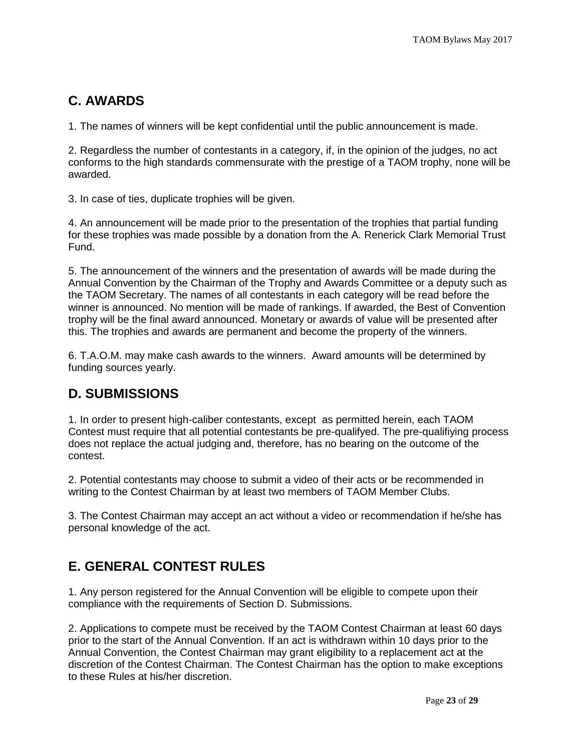# **C. AWARDS**

1. The names of winners will be kept confidential until the public announcement is made.

2. Regardless the number of contestants in a category, if, in the opinion of the judges, no act conforms to the high standards commensurate with the prestige of a TAOM trophy, none will be awarded.

3. In case of ties, duplicate trophies will be given.

4. An announcement will be made prior to the presentation of the trophies that partial funding for these trophies was made possible by a donation from the A. Renerick Clark Memorial Trust Fund.

5. The announcement of the winners and the presentation of awards will be made during the Annual Convention by the Chairman of the Trophy and Awards Committee or a deputy such as the TAOM Secretary. The names of all contestants in each category will be read before the winner is announced. No mention will be made of rankings. If awarded, the Best of Convention trophy will be the final award announced. Monetary or awards of value will be presented after this. The trophies and awards are permanent and become the property of the winners.

6. T.A.O.M. may make cash awards to the winners. Award amounts will be determined by funding sources yearly.

# **D. SUBMISSIONS**

1. In order to present high-caliber contestants, except as permitted herein, each TAOM Contest must require that all potential contestants be pre-qualifyed. The pre-qualifiying process does not replace the actual judging and, therefore, has no bearing on the outcome of the contest.

2. Potential contestants may choose to submit a video of their acts or be recommended in writing to the Contest Chairman by at least two members of TAOM Member Clubs.

3. The Contest Chairman may accept an act without a video or recommendation if he/she has personal knowledge of the act.

# **E. GENERAL CONTEST RULES**

1. Any person registered for the Annual Convention will be eligible to compete upon their compliance with the requirements of Section D. Submissions.

2. Applications to compete must be received by the TAOM Contest Chairman at least 60 days prior to the start of the Annual Convention. If an act is withdrawn within 10 days prior to the Annual Convention, the Contest Chairman may grant eligibility to a replacement act at the discretion of the Contest Chairman. The Contest Chairman has the option to make exceptions to these Rules at his/her discretion.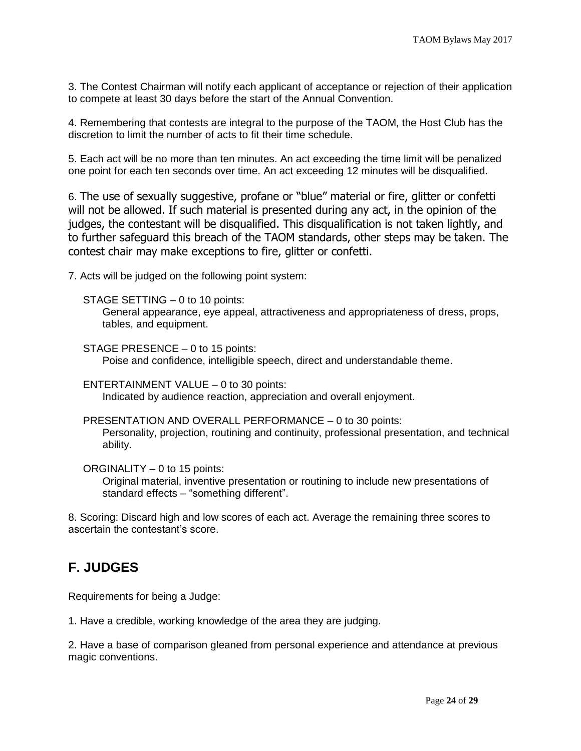3. The Contest Chairman will notify each applicant of acceptance or rejection of their application to compete at least 30 days before the start of the Annual Convention.

4. Remembering that contests are integral to the purpose of the TAOM, the Host Club has the discretion to limit the number of acts to fit their time schedule.

5. Each act will be no more than ten minutes. An act exceeding the time limit will be penalized one point for each ten seconds over time. An act exceeding 12 minutes will be disqualified.

6. The use of sexually suggestive, profane or "blue" material or fire, glitter or confetti will not be allowed. If such material is presented during any act, in the opinion of the judges, the contestant will be disqualified. This disqualification is not taken lightly, and to further safeguard this breach of the TAOM standards, other steps may be taken. The contest chair may make exceptions to fire, glitter or confetti.

7. Acts will be judged on the following point system:

STAGE SETTING – 0 to 10 points:

General appearance, eye appeal, attractiveness and appropriateness of dress, props, tables, and equipment.

 STAGE PRESENCE – 0 to 15 points: Poise and confidence, intelligible speech, direct and understandable theme.

 ENTERTAINMENT VALUE – 0 to 30 points: Indicated by audience reaction, appreciation and overall enjoyment.

 PRESENTATION AND OVERALL PERFORMANCE – 0 to 30 points: Personality, projection, routining and continuity, professional presentation, and technical ability.

ORGINALITY – 0 to 15 points:

Original material, inventive presentation or routining to include new presentations of standard effects – "something different".

8. Scoring: Discard high and low scores of each act. Average the remaining three scores to ascertain the contestant's score.

# **F. JUDGES**

Requirements for being a Judge:

1. Have a credible, working knowledge of the area they are judging.

2. Have a base of comparison gleaned from personal experience and attendance at previous magic conventions.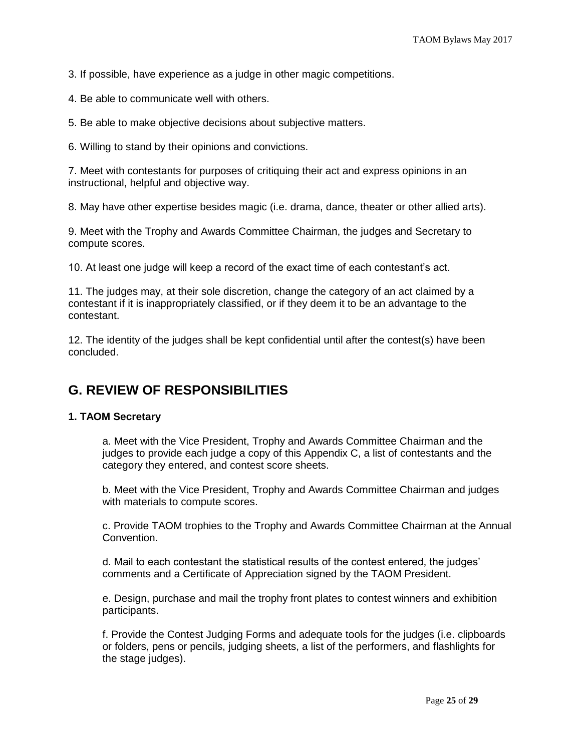3. If possible, have experience as a judge in other magic competitions.

4. Be able to communicate well with others.

5. Be able to make objective decisions about subjective matters.

6. Willing to stand by their opinions and convictions.

7. Meet with contestants for purposes of critiquing their act and express opinions in an instructional, helpful and objective way.

8. May have other expertise besides magic (i.e. drama, dance, theater or other allied arts).

9. Meet with the Trophy and Awards Committee Chairman, the judges and Secretary to compute scores.

10. At least one judge will keep a record of the exact time of each contestant's act.

11. The judges may, at their sole discretion, change the category of an act claimed by a contestant if it is inappropriately classified, or if they deem it to be an advantage to the contestant.

12. The identity of the judges shall be kept confidential until after the contest(s) have been concluded.

# **G. REVIEW OF RESPONSIBILITIES**

## **1. TAOM Secretary**

a. Meet with the Vice President, Trophy and Awards Committee Chairman and the judges to provide each judge a copy of this Appendix C, a list of contestants and the category they entered, and contest score sheets.

b. Meet with the Vice President, Trophy and Awards Committee Chairman and judges with materials to compute scores.

c. Provide TAOM trophies to the Trophy and Awards Committee Chairman at the Annual Convention.

d. Mail to each contestant the statistical results of the contest entered, the judges' comments and a Certificate of Appreciation signed by the TAOM President.

e. Design, purchase and mail the trophy front plates to contest winners and exhibition participants.

f. Provide the Contest Judging Forms and adequate tools for the judges (i.e. clipboards or folders, pens or pencils, judging sheets, a list of the performers, and flashlights for the stage judges).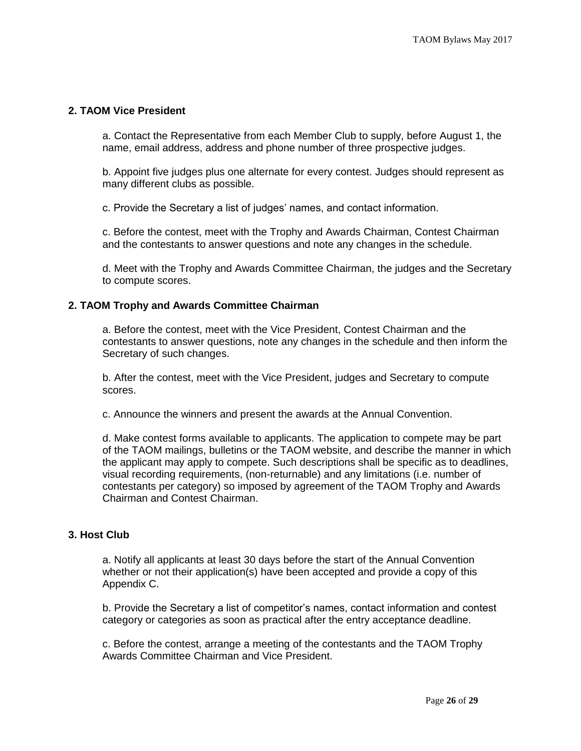### **2. TAOM Vice President**

a. Contact the Representative from each Member Club to supply, before August 1, the name, email address, address and phone number of three prospective judges.

b. Appoint five judges plus one alternate for every contest. Judges should represent as many different clubs as possible.

c. Provide the Secretary a list of judges' names, and contact information.

c. Before the contest, meet with the Trophy and Awards Chairman, Contest Chairman and the contestants to answer questions and note any changes in the schedule.

d. Meet with the Trophy and Awards Committee Chairman, the judges and the Secretary to compute scores.

### **2. TAOM Trophy and Awards Committee Chairman**

a. Before the contest, meet with the Vice President, Contest Chairman and the contestants to answer questions, note any changes in the schedule and then inform the Secretary of such changes.

b. After the contest, meet with the Vice President, judges and Secretary to compute scores.

c. Announce the winners and present the awards at the Annual Convention.

d. Make contest forms available to applicants. The application to compete may be part of the TAOM mailings, bulletins or the TAOM website, and describe the manner in which the applicant may apply to compete. Such descriptions shall be specific as to deadlines, visual recording requirements, (non-returnable) and any limitations (i.e. number of contestants per category) so imposed by agreement of the TAOM Trophy and Awards Chairman and Contest Chairman.

### **3. Host Club**

a. Notify all applicants at least 30 days before the start of the Annual Convention whether or not their application(s) have been accepted and provide a copy of this Appendix C.

b. Provide the Secretary a list of competitor's names, contact information and contest category or categories as soon as practical after the entry acceptance deadline.

c. Before the contest, arrange a meeting of the contestants and the TAOM Trophy Awards Committee Chairman and Vice President.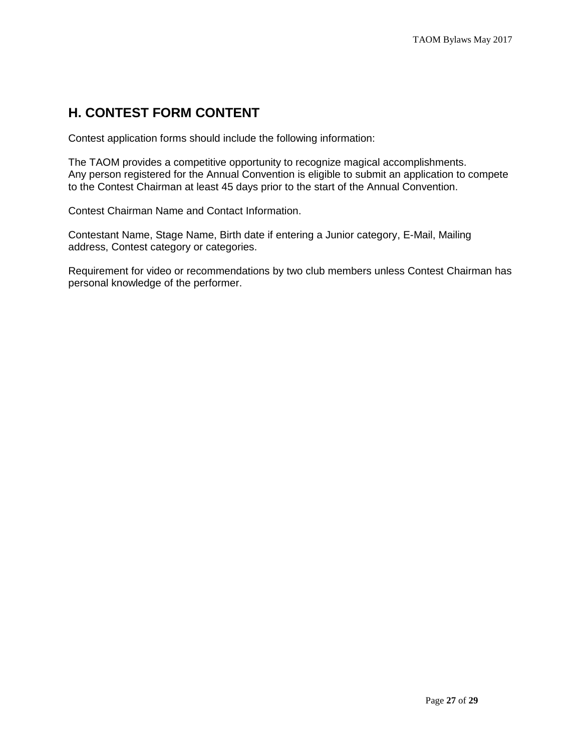# **H. CONTEST FORM CONTENT**

Contest application forms should include the following information:

The TAOM provides a competitive opportunity to recognize magical accomplishments. Any person registered for the Annual Convention is eligible to submit an application to compete to the Contest Chairman at least 45 days prior to the start of the Annual Convention.

Contest Chairman Name and Contact Information.

Contestant Name, Stage Name, Birth date if entering a Junior category, E-Mail, Mailing address, Contest category or categories.

Requirement for video or recommendations by two club members unless Contest Chairman has personal knowledge of the performer.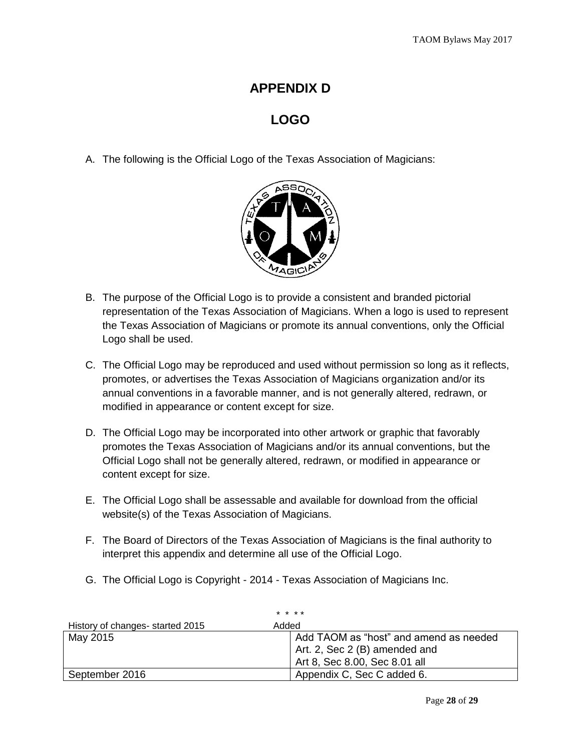# **APPENDIX D**

# **LOGO**

A. The following is the Official Logo of the Texas Association of Magicians:



- B. The purpose of the Official Logo is to provide a consistent and branded pictorial representation of the Texas Association of Magicians. When a logo is used to represent the Texas Association of Magicians or promote its annual conventions, only the Official Logo shall be used.
- C. The Official Logo may be reproduced and used without permission so long as it reflects, promotes, or advertises the Texas Association of Magicians organization and/or its annual conventions in a favorable manner, and is not generally altered, redrawn, or modified in appearance or content except for size.
- D. The Official Logo may be incorporated into other artwork or graphic that favorably promotes the Texas Association of Magicians and/or its annual conventions, but the Official Logo shall not be generally altered, redrawn, or modified in appearance or content except for size.
- E. The Official Logo shall be assessable and available for download from the official website(s) of the Texas Association of Magicians.
- F. The Board of Directors of the Texas Association of Magicians is the final authority to interpret this appendix and determine all use of the Official Logo.
- G. The Official Logo is Copyright 2014 Texas Association of Magicians Inc.

| History of changes-started 2015 | Added                                  |
|---------------------------------|----------------------------------------|
| May 2015                        | Add TAOM as "host" and amend as needed |
|                                 | Art. 2, Sec 2 (B) amended and          |
|                                 | Art 8, Sec 8.00, Sec 8.01 all          |
| September 2016                  | Appendix C, Sec C added 6.             |

## \* \* \* \*